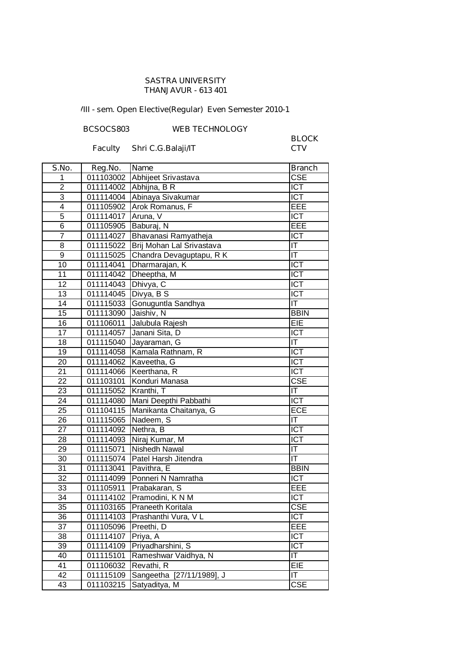#### **SASTRA UNIVERSITY THANJAVUR - 613 401**

## **VIII - sem. Open Elective(Regular) Even Semester 2010-11**

#### **BCSOCS803 WEB TECHNOLOGY**

### **Faculty Shri C.G.Balaji/IT**

# **BLOCK**

| S.No.           | Reg.No.   | <b>Name</b>               | <b>Branch</b>           |
|-----------------|-----------|---------------------------|-------------------------|
| 1               | 011103002 | Abhijeet Srivastava       | <b>CSE</b>              |
| $\overline{2}$  | 011114002 | Abhijna, B R              | <b>ICT</b>              |
| $\overline{3}$  | 011114004 | Abinaya Sivakumar         | <b>ICT</b>              |
| $\overline{4}$  | 011105902 | Arok Romanus, F           | EEE                     |
| $\overline{5}$  | 011114017 | Aruna, V                  | ICT                     |
| 6               | 011105905 | Baburaj, N                | <b>EEE</b>              |
| $\overline{7}$  | 011114027 | Bhavanasi Ramyatheja      | <b>ICT</b>              |
| 8               | 011115022 | Brij Mohan Lal Srivastava | IT                      |
| $\overline{9}$  | 011115025 | Chandra Devaguptapu, R K  | T                       |
| 10              | 011114041 | Dharmarajan, K            | <b>ICT</b>              |
| 11              | 011114042 | Dheeptha, M               | <b>ICT</b>              |
| 12              | 011114043 | Dhivya, C                 | <b>ICT</b>              |
| $\overline{13}$ | 011114045 | Divya, B S                | <b>ICT</b>              |
| 14              | 011115033 | Gonuguntla Sandhya        | $ \mathsf{T} $          |
| 15              | 011113090 | Jaishiv, N                | <b>BBIN</b>             |
| 16              | 011106011 | Jalubula Rajesh           | EIE                     |
| 17              | 011114057 | Janani Sita, D            | ICT                     |
| 18              | 011115040 | Jayaraman, G              | IT                      |
| 19              | 011114058 | Kamala Rathnam, R         | $\overline{ICT}$        |
| 20              | 011114062 | Kaveetha, G               | $\overline{ICT}$        |
| 21              | 011114066 | Keerthana, R              | $\overline{ICT}$        |
| 22              | 011103101 | Konduri Manasa            | $\overline{\text{CSE}}$ |
| 23              | 011115052 | Kranthi, T                | IT                      |
| 24              | 011114080 | Mani Deepthi Pabbathi     | $\overline{ICT}$        |
| $\overline{25}$ | 011104115 | Manikanta Chaitanya, G    | <b>ECE</b>              |
| 26              | 011115065 | Nadeem, S                 | IT                      |
| 27              | 011114092 | Nethra, B                 | ICT                     |
| 28              | 011114093 | Niraj Kumar, M            | ICT                     |
| 29              | 011115071 | Nishedh Nawal             | IT                      |
| 30              | 011115074 | Patel Harsh Jitendra      | IT                      |
| 31              | 011113041 | Pavithra, E               | <b>BBIN</b>             |
| 32              | 011114099 | Ponneri N Namratha        | <b>ICT</b>              |
| 33              | 011105911 | Prabakaran, S             | EEE                     |
| $\overline{34}$ | 011114102 | Pramodini, K N M          | $\overline{ICT}$        |
| $\overline{35}$ | 011103165 | Praneeth Koritala         | <b>CSE</b>              |
| 36              | 011114103 | Prashanthi Vura, VL       | <b>ICT</b>              |
| 37              | 011105096 | Preethi, D                | EEE                     |
| 38              | 011114107 | Priya, A                  | <b>ICT</b>              |
| 39              | 011114109 | Priyadharshini, S         | <b>ICT</b>              |
| 40              | 011115101 | Rameshwar Vaidhya, N      | IT                      |
| 41              | 011106032 | Revathi, R                | EIE                     |
| 42              | 011115109 | Sangeetha [27/11/1989], J | IT                      |
| 43              | 011103215 | Satyaditya, M             | <b>CSE</b>              |